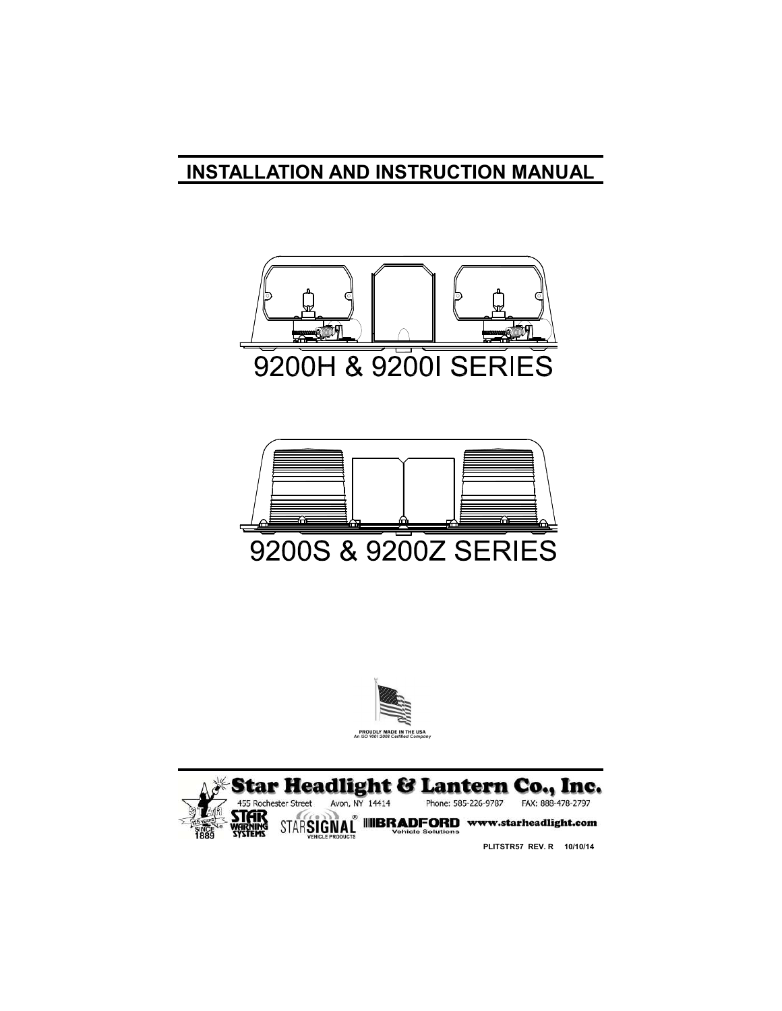# **INSTALLATION AND INSTRUCTION MANUAL**









**PLITSTR57 REV. R 10/10/14**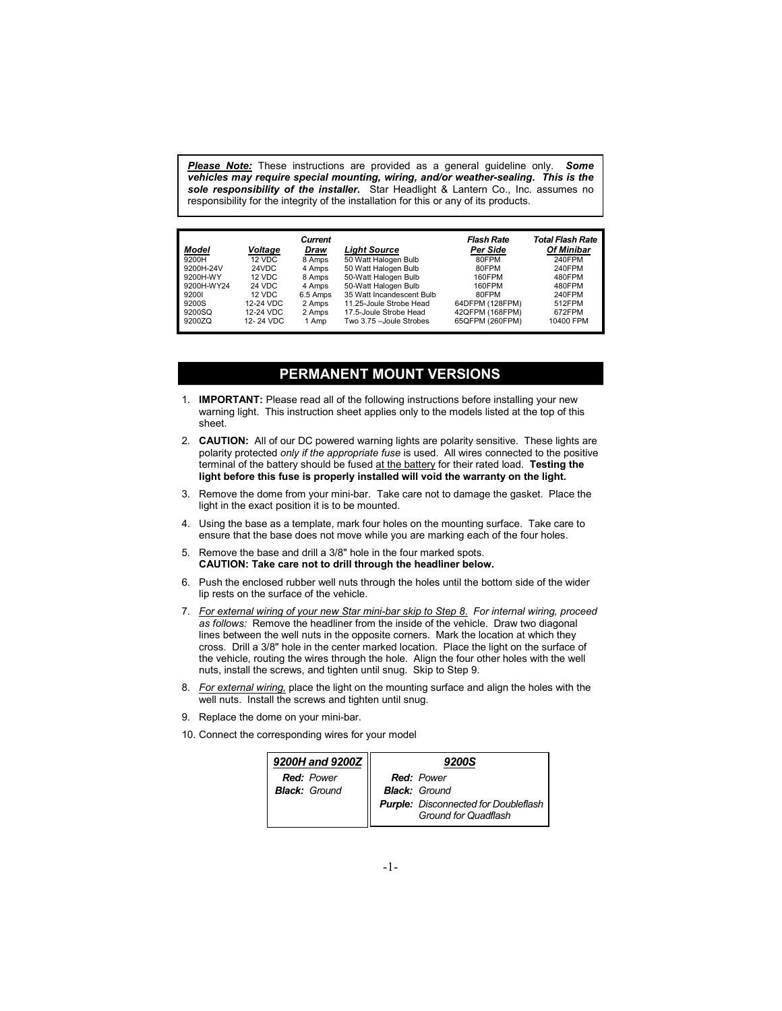*Please Note:* These instructions are provided as a general guideline only. *Some vehicles may require special mounting, wiring, and/or weather-sealing. This is the sole responsibility of the installer.* Star Headlight & Lantern Co., Inc. assumes no responsibility for the integrity of the installation for this or any of its products.

|            |           | Current  |                           | Flash Rate      | Total Flash Rate  |
|------------|-----------|----------|---------------------------|-----------------|-------------------|
| Model      | Voltage   | Draw     | Liaht Source              | Per Side        | <b>Of Minibar</b> |
| 9200H      | 12 VDC    | 8 Amps   | 50 Watt Halogen Bulb      | 80FPM           | 240FPM            |
| 9200H-24V  | 24VDC     | 4 Amps   | 50 Watt Halogen Bulb      | 80FPM           | 240FPM            |
| 9200H-WY   | 12 VDC    | 8 Amps   | 50-Watt Halogen Bulb      | 160FPM          | 480FPM            |
| 9200H-WY24 | 24 VDC    | 4 Amps   | 50-Watt Halogen Bulb      | 160FPM          | 480FPM            |
| 92001      | 12 VDC    | 6.5 Amps | 35 Watt Incandescent Bulb | 80FPM           | 240FPM            |
| 9200S      | 12-24 VDC | 2 Amps   | 11.25-Joule Strobe Head   | 64DFPM (128FPM) | 512FPM            |
| 9200SQ     | 12-24 VDC | 2 Amps   | 17.5-Joule Strobe Head    | 42QFPM (168FPM) | 672FPM            |
| 9200ZQ     | 12-24 VDC | 1 Amp    | Two 3.75 - Joule Strobes  | 65QFPM (260FPM) | 10400 FPM         |
|            |           |          |                           |                 |                   |

### **PERMANENT MOUNT VERSIONS**

- 1. **IMPORTANT:** Please read all of the following instructions before installing your new warning light. This instruction sheet applies only to the models listed at the top of this sheet.
- 2. **CAUTION:** All of our DC powered warning lights are polarity sensitive. These lights are polarity protected *only if the appropriate fuse* is used. All wires connected to the positive terminal of the battery should be fused at the battery for their rated load. **Testing the light before this fuse is properly installed will void the warranty on the light.**
- 3. Remove the dome from your mini-bar. Take care not to damage the gasket. Place the light in the exact position it is to be mounted.
- 4. Using the base as a template, mark four holes on the mounting surface. Take care to ensure that the base does not move while you are marking each of the four holes.
- 5. Remove the base and drill a 3/8" hole in the four marked spots.  **CAUTION: Take care not to drill through the headliner below.**
- 6. Push the enclosed rubber well nuts through the holes until the bottom side of the wider lip rests on the surface of the vehicle.
- 7. *For external wiring of your new Star mini-bar skip to Step 8*. *For internal wiring, proceed as follows:* Remove the headliner from the inside of the vehicle. Draw two diagonal lines between the well nuts in the opposite corners. Mark the location at which they cross. Drill a 3/8" hole in the center marked location. Place the light on the surface of the vehicle, routing the wires through the hole. Align the four other holes with the well nuts, install the screws, and tighten until snug. Skip to Step 9.
- 8. *For external wiring,* place the light on the mounting surface and align the holes with the well nuts. Install the screws and tighten until snug.
- 9. Replace the dome on your mini-bar.
- 10. Connect the corresponding wires for your model

| 9200H and 9200Z      | <b>9200S</b>                                                        |
|----------------------|---------------------------------------------------------------------|
| <b>Red: Power</b>    | <b>Red:</b> Power                                                   |
| <b>Black: Ground</b> | <b>Black: Ground</b>                                                |
|                      | <b>Purple:</b> Disconnected for Doubleflash<br>Ground for Quadflash |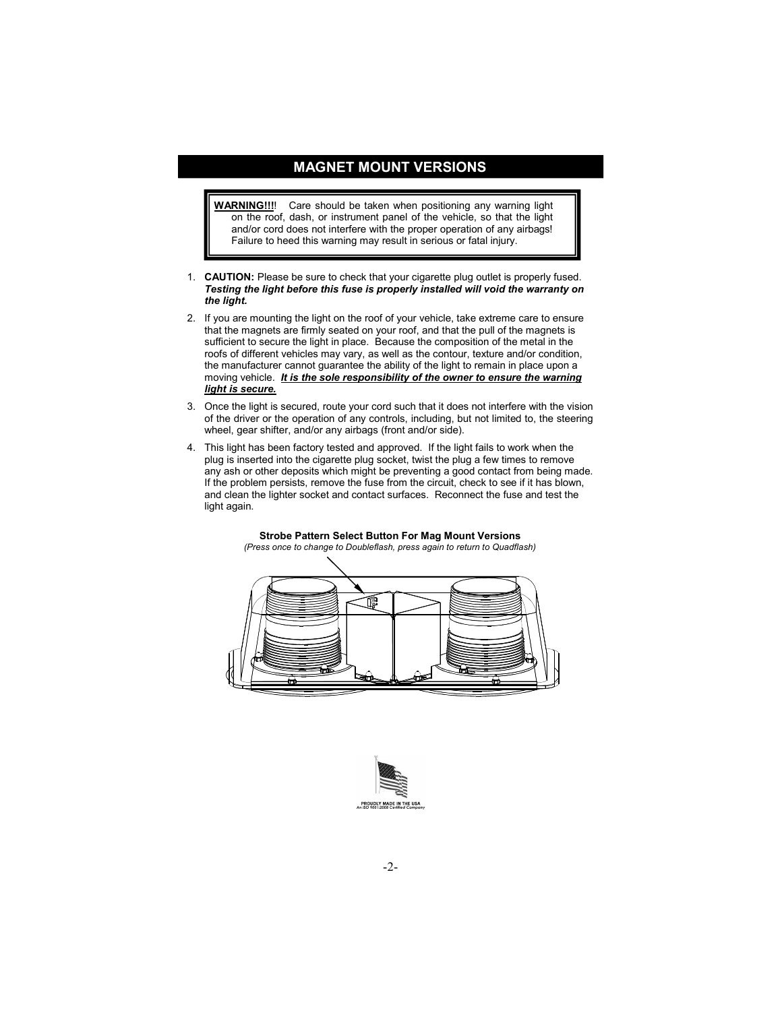## **MAGNET MOUNT VERSIONS**

**WARNING!!!**! Care should be taken when positioning any warning light on the roof, dash, or instrument panel of the vehicle, so that the light and/or cord does not interfere with the proper operation of any airbags! Failure to heed this warning may result in serious or fatal injury.

- 1. **CAUTION:** Please be sure to check that your cigarette plug outlet is properly fused. *Testing the light before this fuse is properly installed will void the warranty on the light.*
- 2. If you are mounting the light on the roof of your vehicle, take extreme care to ensure that the magnets are firmly seated on your roof, and that the pull of the magnets is sufficient to secure the light in place. Because the composition of the metal in the roofs of different vehicles may vary, as well as the contour, texture and/or condition, the manufacturer cannot guarantee the ability of the light to remain in place upon a moving vehicle. *It is the sole responsibility of the owner to ensure the warning light is secure.*
- 3. Once the light is secured, route your cord such that it does not interfere with the vision of the driver or the operation of any controls, including, but not limited to, the steering wheel, gear shifter, and/or any airbags (front and/or side).
- 4. This light has been factory tested and approved. If the light fails to work when the plug is inserted into the cigarette plug socket, twist the plug a few times to remove any ash or other deposits which might be preventing a good contact from being made. If the problem persists, remove the fuse from the circuit, check to see if it has blown, and clean the lighter socket and contact surfaces. Reconnect the fuse and test the light again.

**Strobe Pattern Select Button For Mag Mount Versions**